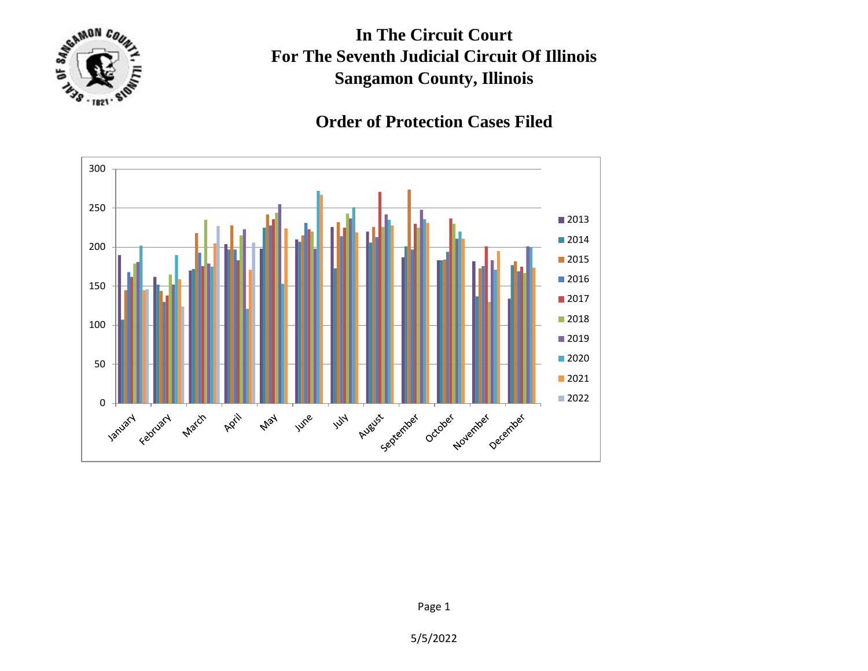

**In The Circuit Court For The Seventh Judicial Circuit Of Illinois Sangamon County, Illinois**

## **Order of Protection Cases Filed**



5/5/2022